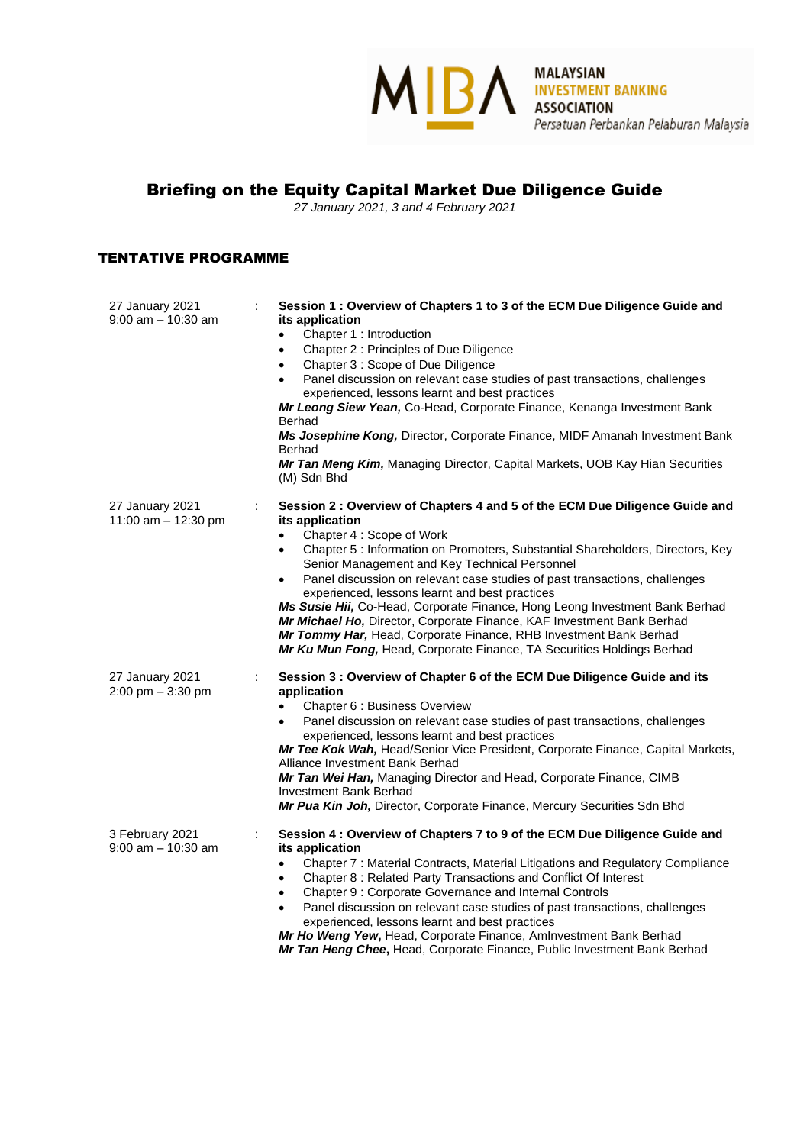## Briefing on the Equity Capital Market Due Diligence Guide

*27 January 2021, 3 and 4 February 2021*

## TENTATIVE PROGRAMME

| 27 January 2021<br>$9:00$ am $-10:30$ am | Session 1: Overview of Chapters 1 to 3 of the ECM Due Diligence Guide and<br>its application<br>Chapter 1 : Introduction<br>Chapter 2: Principles of Due Diligence<br>$\bullet$<br>Chapter 3 : Scope of Due Diligence<br>$\bullet$<br>Panel discussion on relevant case studies of past transactions, challenges<br>experienced, lessons learnt and best practices<br>Mr Leong Siew Yean, Co-Head, Corporate Finance, Kenanga Investment Bank<br>Berhad<br>Ms Josephine Kong, Director, Corporate Finance, MIDF Amanah Investment Bank<br><b>Berhad</b><br>Mr Tan Meng Kim, Managing Director, Capital Markets, UOB Kay Hian Securities<br>(M) Sdn Bhd                                                                  |
|------------------------------------------|-------------------------------------------------------------------------------------------------------------------------------------------------------------------------------------------------------------------------------------------------------------------------------------------------------------------------------------------------------------------------------------------------------------------------------------------------------------------------------------------------------------------------------------------------------------------------------------------------------------------------------------------------------------------------------------------------------------------------|
| 27 January 2021<br>11:00 am - 12:30 pm   | Session 2 : Overview of Chapters 4 and 5 of the ECM Due Diligence Guide and<br>÷<br>its application<br>Chapter 4: Scope of Work<br>Chapter 5 : Information on Promoters, Substantial Shareholders, Directors, Key<br>$\bullet$<br>Senior Management and Key Technical Personnel<br>Panel discussion on relevant case studies of past transactions, challenges<br>experienced, lessons learnt and best practices<br>Ms Susie Hii, Co-Head, Corporate Finance, Hong Leong Investment Bank Berhad<br>Mr Michael Ho, Director, Corporate Finance, KAF Investment Bank Berhad<br>Mr Tommy Har, Head, Corporate Finance, RHB Investment Bank Berhad<br>Mr Ku Mun Fong, Head, Corporate Finance, TA Securities Holdings Berhad |
| 27 January 2021<br>$2:00$ pm $-3:30$ pm  | Session 3 : Overview of Chapter 6 of the ECM Due Diligence Guide and its<br>application<br>Chapter 6 : Business Overview<br>Panel discussion on relevant case studies of past transactions, challenges<br>experienced, lessons learnt and best practices<br>Mr Tee Kok Wah, Head/Senior Vice President, Corporate Finance, Capital Markets,<br>Alliance Investment Bank Berhad<br>Mr Tan Wei Han, Managing Director and Head, Corporate Finance, CIMB<br>Investment Bank Berhad<br>Mr Pua Kin Joh, Director, Corporate Finance, Mercury Securities Sdn Bhd                                                                                                                                                              |
| 3 February 2021<br>$9:00$ am $-10:30$ am | Session 4 : Overview of Chapters 7 to 9 of the ECM Due Diligence Guide and<br>its application<br>Chapter 7 : Material Contracts, Material Litigations and Regulatory Compliance<br>$\bullet$<br>Chapter 8 : Related Party Transactions and Conflict Of Interest<br>$\bullet$<br>Chapter 9 : Corporate Governance and Internal Controls<br>$\bullet$<br>Panel discussion on relevant case studies of past transactions, challenges<br>$\bullet$<br>experienced, lessons learnt and best practices<br>Mr Ho Weng Yew, Head, Corporate Finance, AmInvestment Bank Berhad<br>Mr Tan Heng Chee, Head, Corporate Finance, Public Investment Bank Berhad                                                                       |